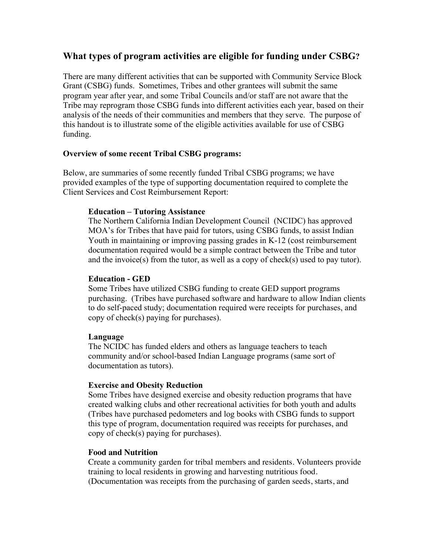# **What types of program activities are eligible for funding under CSBG?**

There are many different activities that can be supported with Community Service Block Grant (CSBG) funds. Sometimes, Tribes and other grantees will submit the same program year after year, and some Tribal Councils and/or staff are not aware that the Tribe may reprogram those CSBG funds into different activities each year, based on their analysis of the needs of their communities and members that they serve. The purpose of this handout is to illustrate some of the eligible activities available for use of CSBG funding.

#### **Overview of some recent Tribal CSBG programs:**

Below, are summaries of some recently funded Tribal CSBG programs; we have provided examples of the type of supporting documentation required to complete the Client Services and Cost Reimbursement Report:

#### **Education – Tutoring Assistance**

The Northern California Indian Development Council (NCIDC) has approved MOA's for Tribes that have paid for tutors, using CSBG funds, to assist Indian Youth in maintaining or improving passing grades in K-12 (cost reimbursement documentation required would be a simple contract between the Tribe and tutor and the invoice(s) from the tutor, as well as a copy of check(s) used to pay tutor).

#### **Education - GED**

Some Tribes have utilized CSBG funding to create GED support programs purchasing. (Tribes have purchased software and hardware to allow Indian clients to do self-paced study; documentation required were receipts for purchases, and copy of check(s) paying for purchases).

#### **Language**

The NCIDC has funded elders and others as language teachers to teach community and/or school-based Indian Language programs (same sort of documentation as tutors).

### **Exercise and Obesity Reduction**

Some Tribes have designed exercise and obesity reduction programs that have created walking clubs and other recreational activities for both youth and adults (Tribes have purchased pedometers and log books with CSBG funds to support this type of program, documentation required was receipts for purchases, and copy of check(s) paying for purchases).

#### **Food and Nutrition**

Create a community garden for tribal members and residents. Volunteers provide training to local residents in growing and harvesting nutritious food. (Documentation was receipts from the purchasing of garden seeds, starts, and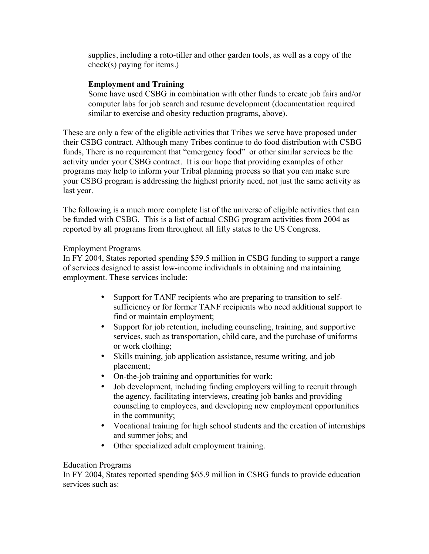supplies, including a roto-tiller and other garden tools, as well as a copy of the check(s) paying for items.)

### **Employment and Training**

Some have used CSBG in combination with other funds to create job fairs and/or computer labs for job search and resume development (documentation required similar to exercise and obesity reduction programs, above).

These are only a few of the eligible activities that Tribes we serve have proposed under their CSBG contract. Although many Tribes continue to do food distribution with CSBG funds, There is no requirement that "emergency food" or other similar services be the activity under your CSBG contract. It is our hope that providing examples of other programs may help to inform your Tribal planning process so that you can make sure your CSBG program is addressing the highest priority need, not just the same activity as last year.

The following is a much more complete list of the universe of eligible activities that can be funded with CSBG. This is a list of actual CSBG program activities from 2004 as reported by all programs from throughout all fifty states to the US Congress.

### Employment Programs

In FY 2004, States reported spending \$59.5 million in CSBG funding to support a range of services designed to assist low-income individuals in obtaining and maintaining employment. These services include:

- Support for TANF recipients who are preparing to transition to selfsufficiency or for former TANF recipients who need additional support to find or maintain employment;
- Support for job retention, including counseling, training, and supportive services, such as transportation, child care, and the purchase of uniforms or work clothing;
- Skills training, job application assistance, resume writing, and job placement;
- On-the-job training and opportunities for work;
- Job development, including finding employers willing to recruit through the agency, facilitating interviews, creating job banks and providing counseling to employees, and developing new employment opportunities in the community;
- Vocational training for high school students and the creation of internships and summer jobs; and
- Other specialized adult employment training.

#### Education Programs

In FY 2004, States reported spending \$65.9 million in CSBG funds to provide education services such as: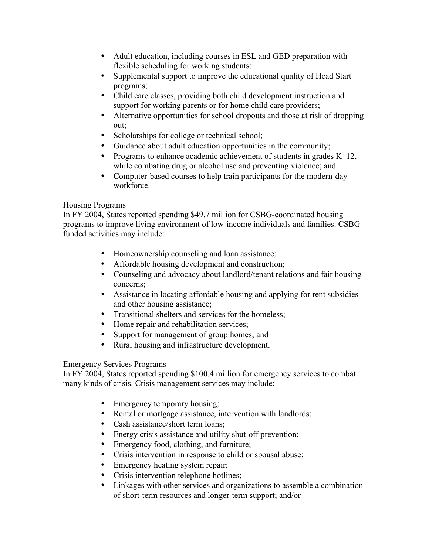- Adult education, including courses in ESL and GED preparation with flexible scheduling for working students;
- Supplemental support to improve the educational quality of Head Start programs;
- Child care classes, providing both child development instruction and support for working parents or for home child care providers;
- Alternative opportunities for school dropouts and those at risk of dropping out;
- Scholarships for college or technical school;
- Guidance about adult education opportunities in the community;
- Programs to enhance academic achievement of students in grades K–12, while combating drug or alcohol use and preventing violence; and
- Computer-based courses to help train participants for the modern-day workforce.

# Housing Programs

In FY 2004, States reported spending \$49.7 million for CSBG-coordinated housing programs to improve living environment of low-income individuals and families. CSBGfunded activities may include:

- Homeownership counseling and loan assistance;
- Affordable housing development and construction;
- Counseling and advocacy about landlord/tenant relations and fair housing concerns;
- Assistance in locating affordable housing and applying for rent subsidies and other housing assistance;
- Transitional shelters and services for the homeless;
- Home repair and rehabilitation services;
- Support for management of group homes; and
- Rural housing and infrastructure development.

### Emergency Services Programs

In FY 2004, States reported spending \$100.4 million for emergency services to combat many kinds of crisis. Crisis management services may include:

- Emergency temporary housing;
- Rental or mortgage assistance, intervention with landlords;
- Cash assistance/short term loans;
- Energy crisis assistance and utility shut-off prevention;
- Emergency food, clothing, and furniture;
- Crisis intervention in response to child or spousal abuse;
- Emergency heating system repair;
- Crisis intervention telephone hotlines;
- Linkages with other services and organizations to assemble a combination of short-term resources and longer-term support; and/or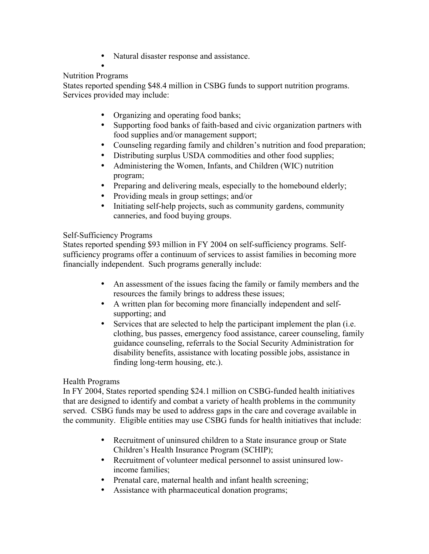- Natural disaster response and assistance.
- •

## Nutrition Programs

States reported spending \$48.4 million in CSBG funds to support nutrition programs. Services provided may include:

- Organizing and operating food banks;
- Supporting food banks of faith-based and civic organization partners with food supplies and/or management support;
- Counseling regarding family and children's nutrition and food preparation;
- Distributing surplus USDA commodities and other food supplies;
- Administering the Women, Infants, and Children (WIC) nutrition program;
- Preparing and delivering meals, especially to the homebound elderly;
- Providing meals in group settings; and/or
- Initiating self-help projects, such as community gardens, community canneries, and food buying groups.

### Self-Sufficiency Programs

States reported spending \$93 million in FY 2004 on self-sufficiency programs. Selfsufficiency programs offer a continuum of services to assist families in becoming more financially independent. Such programs generally include:

- An assessment of the issues facing the family or family members and the resources the family brings to address these issues;
- A written plan for becoming more financially independent and selfsupporting; and
- Services that are selected to help the participant implement the plan (i.e. clothing, bus passes, emergency food assistance, career counseling, family guidance counseling, referrals to the Social Security Administration for disability benefits, assistance with locating possible jobs, assistance in finding long-term housing, etc.).

#### Health Programs

In FY 2004, States reported spending \$24.1 million on CSBG-funded health initiatives that are designed to identify and combat a variety of health problems in the community served. CSBG funds may be used to address gaps in the care and coverage available in the community. Eligible entities may use CSBG funds for health initiatives that include:

- Recruitment of uninsured children to a State insurance group or State Children's Health Insurance Program (SCHIP);
- Recruitment of volunteer medical personnel to assist uninsured lowincome families;
- Prenatal care, maternal health and infant health screening;
- Assistance with pharmaceutical donation programs;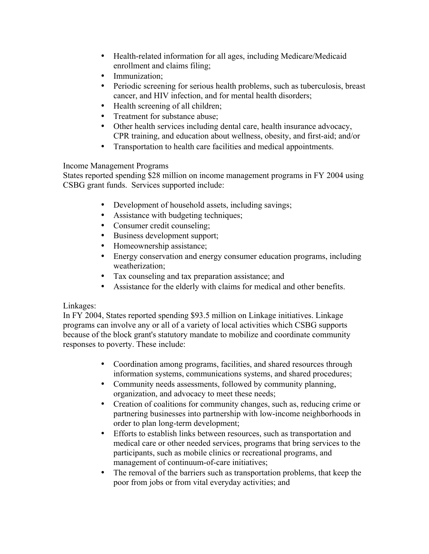- Health-related information for all ages, including Medicare/Medicaid enrollment and claims filing;
- Immunization:
- Periodic screening for serious health problems, such as tuberculosis, breast cancer, and HIV infection, and for mental health disorders;
- Health screening of all children;
- Treatment for substance abuse;
- Other health services including dental care, health insurance advocacy, CPR training, and education about wellness, obesity, and first-aid; and/or
- Transportation to health care facilities and medical appointments.

### Income Management Programs

States reported spending \$28 million on income management programs in FY 2004 using CSBG grant funds. Services supported include:

- Development of household assets, including savings;
- Assistance with budgeting techniques;
- Consumer credit counseling;
- Business development support;
- Homeownership assistance;
- Energy conservation and energy consumer education programs, including weatherization;
- Tax counseling and tax preparation assistance; and
- Assistance for the elderly with claims for medical and other benefits.

### Linkages:

In FY 2004, States reported spending \$93.5 million on Linkage initiatives. Linkage programs can involve any or all of a variety of local activities which CSBG supports because of the block grant's statutory mandate to mobilize and coordinate community responses to poverty. These include:

- Coordination among programs, facilities, and shared resources through information systems, communications systems, and shared procedures;
- Community needs assessments, followed by community planning, organization, and advocacy to meet these needs;
- Creation of coalitions for community changes, such as, reducing crime or partnering businesses into partnership with low-income neighborhoods in order to plan long-term development;
- Efforts to establish links between resources, such as transportation and medical care or other needed services, programs that bring services to the participants, such as mobile clinics or recreational programs, and management of continuum-of-care initiatives;
- The removal of the barriers such as transportation problems, that keep the poor from jobs or from vital everyday activities; and